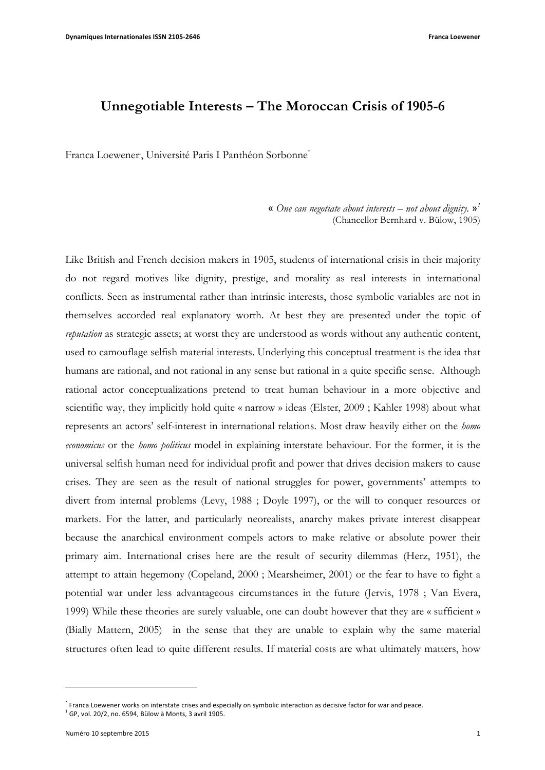# **Unnegotiable Interests – The Moroccan Crisis of 1905-6**

Franca Loewener, Université Paris I Panthéon Sorbonne<sup>\*</sup>

« *One can negotiate about interests – not about dignity.* »*<sup>1</sup>* (Chancellor Bernhard v. Bülow, 1905)

Like British and French decision makers in 1905, students of international crisis in their majority do not regard motives like dignity, prestige, and morality as real interests in international conflicts. Seen as instrumental rather than intrinsic interests, those symbolic variables are not in themselves accorded real explanatory worth. At best they are presented under the topic of *reputation* as strategic assets; at worst they are understood as words without any authentic content, used to camouflage selfish material interests. Underlying this conceptual treatment is the idea that humans are rational, and not rational in any sense but rational in a quite specific sense. Although rational actor conceptualizations pretend to treat human behaviour in a more objective and scientific way, they implicitly hold quite « narrow » ideas (Elster, 2009 ; Kahler 1998) about what represents an actors' self-interest in international relations. Most draw heavily either on the *homo economicus* or the *homo politicus* model in explaining interstate behaviour. For the former, it is the universal selfish human need for individual profit and power that drives decision makers to cause crises. They are seen as the result of national struggles for power, governments' attempts to divert from internal problems (Levy, 1988 ; Doyle 1997), or the will to conquer resources or markets. For the latter, and particularly neorealists, anarchy makes private interest disappear because the anarchical environment compels actors to make relative or absolute power their primary aim. International crises here are the result of security dilemmas (Herz, 1951), the attempt to attain hegemony (Copeland, 2000 ; Mearsheimer, 2001) or the fear to have to fight a potential war under less advantageous circumstances in the future (Jervis, 1978 ; Van Evera, 1999) While these theories are surely valuable, one can doubt however that they are « sufficient » (Bially Mattern, 2005) in the sense that they are unable to explain why the same material structures often lead to quite different results. If material costs are what ultimately matters, how

<sup>\*</sup> Franca Loewener works on interstate crises and especially on symbolic interaction as decisive factor for war and peace.  $^{1}$  GP, vol. 20/2, no. 6594, Bülow à Monts, 3 avril 1905.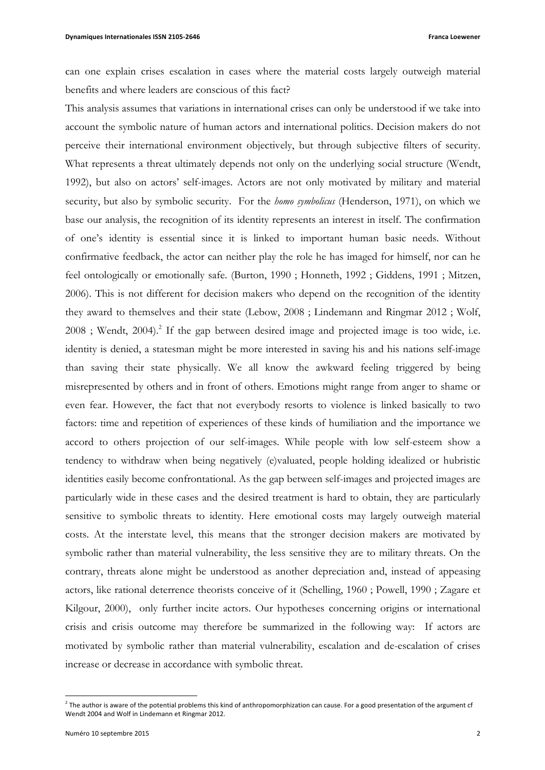can one explain crises escalation in cases where the material costs largely outweigh material benefits and where leaders are conscious of this fact?

This analysis assumes that variations in international crises can only be understood if we take into account the symbolic nature of human actors and international politics. Decision makers do not perceive their international environment objectively, but through subjective filters of security. What represents a threat ultimately depends not only on the underlying social structure (Wendt, 1992), but also on actors' self-images. Actors are not only motivated by military and material security, but also by symbolic security. For the *homo symbolicus* (Henderson, 1971), on which we base our analysis, the recognition of its identity represents an interest in itself. The confirmation of one's identity is essential since it is linked to important human basic needs. Without confirmative feedback, the actor can neither play the role he has imaged for himself, nor can he feel ontologically or emotionally safe. (Burton, 1990 ; Honneth, 1992 ; Giddens, 1991 ; Mitzen, 2006). This is not different for decision makers who depend on the recognition of the identity they award to themselves and their state (Lebow, 2008 ; Lindemann and Ringmar 2012 ; Wolf, 2008 ; Wendt, 2004).<sup>2</sup> If the gap between desired image and projected image is too wide, i.e. identity is denied, a statesman might be more interested in saving his and his nations self-image than saving their state physically. We all know the awkward feeling triggered by being misrepresented by others and in front of others. Emotions might range from anger to shame or even fear. However, the fact that not everybody resorts to violence is linked basically to two factors: time and repetition of experiences of these kinds of humiliation and the importance we accord to others projection of our self-images. While people with low self-esteem show a tendency to withdraw when being negatively (e)valuated, people holding idealized or hubristic identities easily become confrontational. As the gap between self-images and projected images are particularly wide in these cases and the desired treatment is hard to obtain, they are particularly sensitive to symbolic threats to identity. Here emotional costs may largely outweigh material costs. At the interstate level, this means that the stronger decision makers are motivated by symbolic rather than material vulnerability, the less sensitive they are to military threats. On the contrary, threats alone might be understood as another depreciation and, instead of appeasing actors, like rational deterrence theorists conceive of it (Schelling, 1960 ; Powell, 1990 ; Zagare et Kilgour, 2000), only further incite actors. Our hypotheses concerning origins or international crisis and crisis outcome may therefore be summarized in the following way: If actors are motivated by symbolic rather than material vulnerability, escalation and de-escalation of crises increase or decrease in accordance with symbolic threat.

 $^2$  The author is aware of the potential problems this kind of anthropomorphization can cause. For a good presentation of the argument cf Wendt 2004 and Wolf in Lindemann et Ringmar 2012.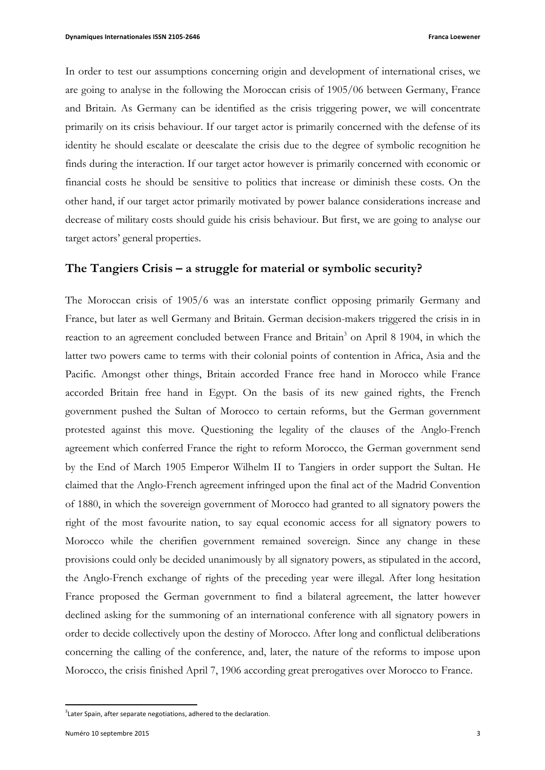In order to test our assumptions concerning origin and development of international crises, we are going to analyse in the following the Moroccan crisis of 1905/06 between Germany, France and Britain. As Germany can be identified as the crisis triggering power, we will concentrate primarily on its crisis behaviour. If our target actor is primarily concerned with the defense of its identity he should escalate or deescalate the crisis due to the degree of symbolic recognition he finds during the interaction. If our target actor however is primarily concerned with economic or financial costs he should be sensitive to politics that increase or diminish these costs. On the other hand, if our target actor primarily motivated by power balance considerations increase and decrease of military costs should guide his crisis behaviour. But first, we are going to analyse our target actors' general properties.

## **The Tangiers Crisis – a struggle for material or symbolic security?**

The Moroccan crisis of 1905/6 was an interstate conflict opposing primarily Germany and France, but later as well Germany and Britain. German decision-makers triggered the crisis in in reaction to an agreement concluded between France and Britain<sup>3</sup> on April 8 1904, in which the latter two powers came to terms with their colonial points of contention in Africa, Asia and the Pacific. Amongst other things, Britain accorded France free hand in Morocco while France accorded Britain free hand in Egypt. On the basis of its new gained rights, the French government pushed the Sultan of Morocco to certain reforms, but the German government protested against this move. Questioning the legality of the clauses of the Anglo-French agreement which conferred France the right to reform Morocco, the German government send by the End of March 1905 Emperor Wilhelm II to Tangiers in order support the Sultan. He claimed that the Anglo-French agreement infringed upon the final act of the Madrid Convention of 1880, in which the sovereign government of Morocco had granted to all signatory powers the right of the most favourite nation, to say equal economic access for all signatory powers to Morocco while the cherifien government remained sovereign. Since any change in these provisions could only be decided unanimously by all signatory powers, as stipulated in the accord, the Anglo-French exchange of rights of the preceding year were illegal. After long hesitation France proposed the German government to find a bilateral agreement, the latter however declined asking for the summoning of an international conference with all signatory powers in order to decide collectively upon the destiny of Morocco. After long and conflictual deliberations concerning the calling of the conference, and, later, the nature of the reforms to impose upon Morocco, the crisis finished April 7, 1906 according great prerogatives over Morocco to France.

 $3$ Later Spain, after separate negotiations, adhered to the declaration.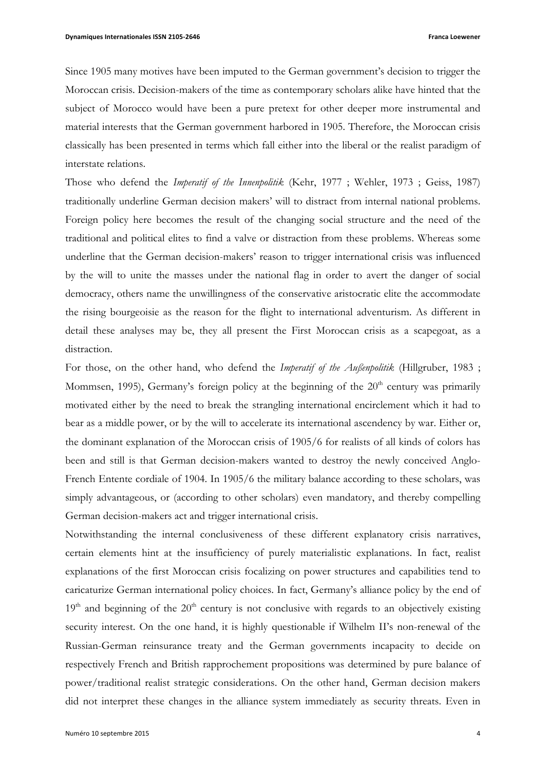Since 1905 many motives have been imputed to the German government's decision to trigger the Moroccan crisis. Decision-makers of the time as contemporary scholars alike have hinted that the subject of Morocco would have been a pure pretext for other deeper more instrumental and material interests that the German government harbored in 1905. Therefore, the Moroccan crisis classically has been presented in terms which fall either into the liberal or the realist paradigm of interstate relations.

Those who defend the *Imperatif of the Innenpolitik* (Kehr, 1977 ; Wehler, 1973 ; Geiss, 1987) traditionally underline German decision makers' will to distract from internal national problems. Foreign policy here becomes the result of the changing social structure and the need of the traditional and political elites to find a valve or distraction from these problems. Whereas some underline that the German decision-makers' reason to trigger international crisis was influenced by the will to unite the masses under the national flag in order to avert the danger of social democracy, others name the unwillingness of the conservative aristocratic elite the accommodate the rising bourgeoisie as the reason for the flight to international adventurism. As different in detail these analyses may be, they all present the First Moroccan crisis as a scapegoat, as a distraction.

For those, on the other hand, who defend the *Imperatif of the Außenpolitik* (Hillgruber, 1983 ; Mommsen, 1995), Germany's foreign policy at the beginning of the  $20<sup>th</sup>$  century was primarily motivated either by the need to break the strangling international encirclement which it had to bear as a middle power, or by the will to accelerate its international ascendency by war. Either or, the dominant explanation of the Moroccan crisis of 1905/6 for realists of all kinds of colors has been and still is that German decision-makers wanted to destroy the newly conceived Anglo-French Entente cordiale of 1904. In 1905/6 the military balance according to these scholars, was simply advantageous, or (according to other scholars) even mandatory, and thereby compelling German decision-makers act and trigger international crisis.

Notwithstanding the internal conclusiveness of these different explanatory crisis narratives, certain elements hint at the insufficiency of purely materialistic explanations. In fact, realist explanations of the first Moroccan crisis focalizing on power structures and capabilities tend to caricaturize German international policy choices. In fact, Germany's alliance policy by the end of  $19<sup>th</sup>$  and beginning of the  $20<sup>th</sup>$  century is not conclusive with regards to an objectively existing security interest. On the one hand, it is highly questionable if Wilhelm II's non-renewal of the Russian-German reinsurance treaty and the German governments incapacity to decide on respectively French and British rapprochement propositions was determined by pure balance of power/traditional realist strategic considerations. On the other hand, German decision makers did not interpret these changes in the alliance system immediately as security threats. Even in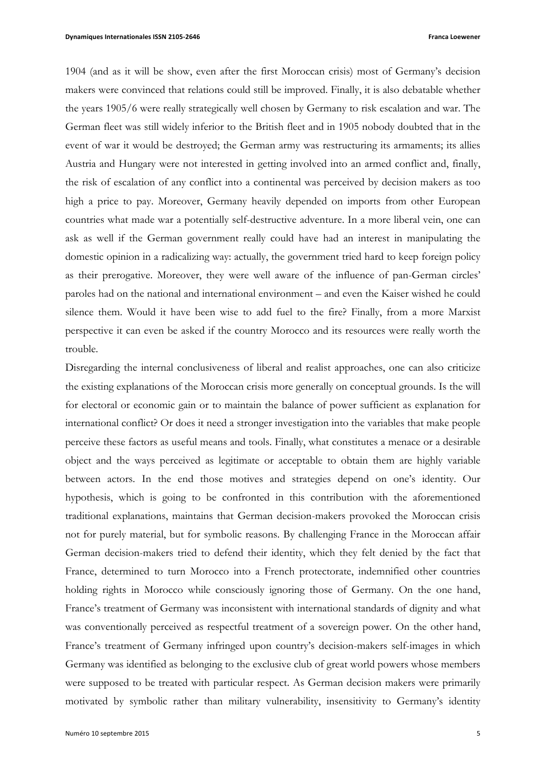1904 (and as it will be show, even after the first Moroccan crisis) most of Germany's decision makers were convinced that relations could still be improved. Finally, it is also debatable whether the years 1905/6 were really strategically well chosen by Germany to risk escalation and war. The German fleet was still widely inferior to the British fleet and in 1905 nobody doubted that in the event of war it would be destroyed; the German army was restructuring its armaments; its allies Austria and Hungary were not interested in getting involved into an armed conflict and, finally, the risk of escalation of any conflict into a continental was perceived by decision makers as too high a price to pay. Moreover, Germany heavily depended on imports from other European countries what made war a potentially self-destructive adventure. In a more liberal vein, one can ask as well if the German government really could have had an interest in manipulating the domestic opinion in a radicalizing way: actually, the government tried hard to keep foreign policy as their prerogative. Moreover, they were well aware of the influence of pan-German circles' paroles had on the national and international environment – and even the Kaiser wished he could silence them. Would it have been wise to add fuel to the fire? Finally, from a more Marxist perspective it can even be asked if the country Morocco and its resources were really worth the trouble.

Disregarding the internal conclusiveness of liberal and realist approaches, one can also criticize the existing explanations of the Moroccan crisis more generally on conceptual grounds. Is the will for electoral or economic gain or to maintain the balance of power sufficient as explanation for international conflict? Or does it need a stronger investigation into the variables that make people perceive these factors as useful means and tools. Finally, what constitutes a menace or a desirable object and the ways perceived as legitimate or acceptable to obtain them are highly variable between actors. In the end those motives and strategies depend on one's identity. Our hypothesis, which is going to be confronted in this contribution with the aforementioned traditional explanations, maintains that German decision-makers provoked the Moroccan crisis not for purely material, but for symbolic reasons. By challenging France in the Moroccan affair German decision-makers tried to defend their identity, which they felt denied by the fact that France, determined to turn Morocco into a French protectorate, indemnified other countries holding rights in Morocco while consciously ignoring those of Germany. On the one hand, France's treatment of Germany was inconsistent with international standards of dignity and what was conventionally perceived as respectful treatment of a sovereign power. On the other hand, France's treatment of Germany infringed upon country's decision-makers self-images in which Germany was identified as belonging to the exclusive club of great world powers whose members were supposed to be treated with particular respect. As German decision makers were primarily motivated by symbolic rather than military vulnerability, insensitivity to Germany's identity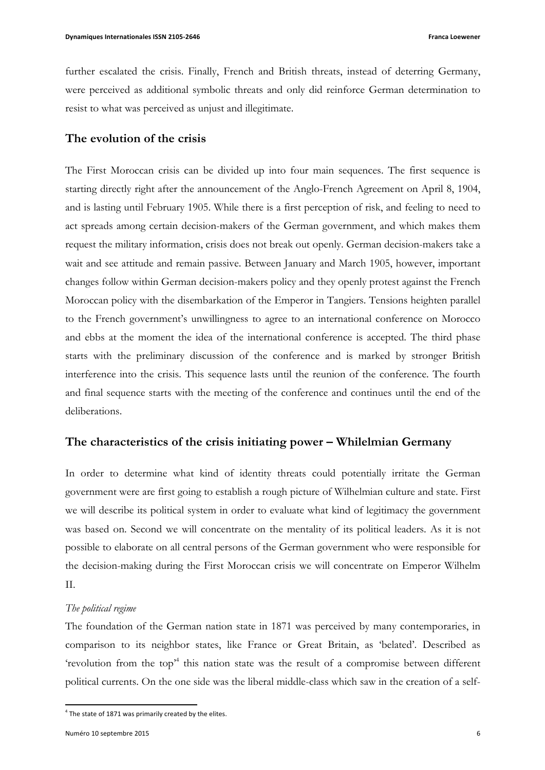further escalated the crisis. Finally, French and British threats, instead of deterring Germany, were perceived as additional symbolic threats and only did reinforce German determination to resist to what was perceived as unjust and illegitimate.

## **The evolution of the crisis**

The First Moroccan crisis can be divided up into four main sequences. The first sequence is starting directly right after the announcement of the Anglo-French Agreement on April 8, 1904, and is lasting until February 1905. While there is a first perception of risk, and feeling to need to act spreads among certain decision-makers of the German government, and which makes them request the military information, crisis does not break out openly. German decision-makers take a wait and see attitude and remain passive. Between January and March 1905, however, important changes follow within German decision-makers policy and they openly protest against the French Moroccan policy with the disembarkation of the Emperor in Tangiers. Tensions heighten parallel to the French government's unwillingness to agree to an international conference on Morocco and ebbs at the moment the idea of the international conference is accepted. The third phase starts with the preliminary discussion of the conference and is marked by stronger British interference into the crisis. This sequence lasts until the reunion of the conference. The fourth and final sequence starts with the meeting of the conference and continues until the end of the deliberations.

# **The characteristics of the crisis initiating power – Whilelmian Germany**

In order to determine what kind of identity threats could potentially irritate the German government were are first going to establish a rough picture of Wilhelmian culture and state. First we will describe its political system in order to evaluate what kind of legitimacy the government was based on. Second we will concentrate on the mentality of its political leaders. As it is not possible to elaborate on all central persons of the German government who were responsible for the decision-making during the First Moroccan crisis we will concentrate on Emperor Wilhelm II.

### *The political regime*

The foundation of the German nation state in 1871 was perceived by many contemporaries, in comparison to its neighbor states, like France or Great Britain, as 'belated'. Described as 'revolution from the top<sup>4</sup> this nation state was the result of a compromise between different political currents. On the one side was the liberal middle-class which saw in the creation of a self-

 $4$  The state of 1871 was primarily created by the elites.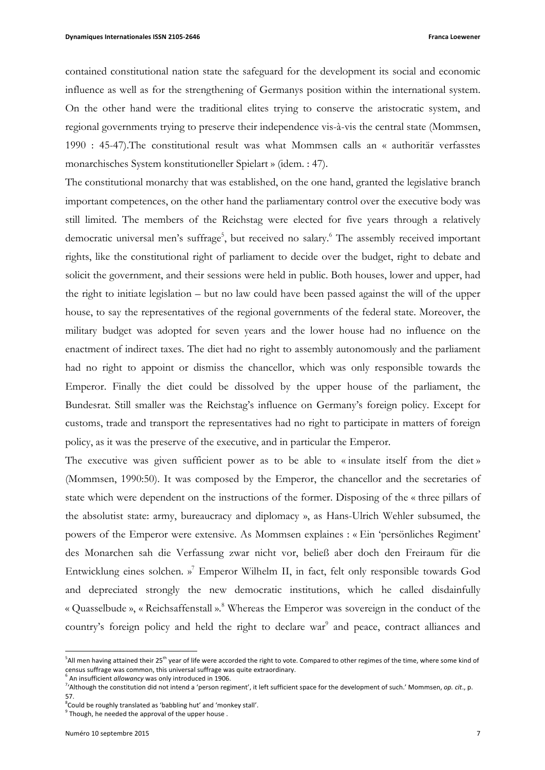contained constitutional nation state the safeguard for the development its social and economic influence as well as for the strengthening of Germanys position within the international system. On the other hand were the traditional elites trying to conserve the aristocratic system, and regional governments trying to preserve their independence vis-à-vis the central state (Mommsen, 1990 : 45-47).The constitutional result was what Mommsen calls an « authoritär verfasstes monarchisches System konstitutioneller Spielart » (idem. : 47).

The constitutional monarchy that was established, on the one hand, granted the legislative branch important competences, on the other hand the parliamentary control over the executive body was still limited. The members of the Reichstag were elected for five years through a relatively democratic universal men's suffrage<sup>5</sup>, but received no salary.<sup>6</sup> The assembly received important rights, like the constitutional right of parliament to decide over the budget, right to debate and solicit the government, and their sessions were held in public. Both houses, lower and upper, had the right to initiate legislation – but no law could have been passed against the will of the upper house, to say the representatives of the regional governments of the federal state. Moreover, the military budget was adopted for seven years and the lower house had no influence on the enactment of indirect taxes. The diet had no right to assembly autonomously and the parliament had no right to appoint or dismiss the chancellor, which was only responsible towards the Emperor. Finally the diet could be dissolved by the upper house of the parliament, the Bundesrat. Still smaller was the Reichstag's influence on Germany's foreign policy. Except for customs, trade and transport the representatives had no right to participate in matters of foreign policy, as it was the preserve of the executive, and in particular the Emperor.

The executive was given sufficient power as to be able to « insulate itself from the diet » (Mommsen, 1990:50). It was composed by the Emperor, the chancellor and the secretaries of state which were dependent on the instructions of the former. Disposing of the « three pillars of the absolutist state: army, bureaucracy and diplomacy », as Hans-Ulrich Wehler subsumed, the powers of the Emperor were extensive. As Mommsen explaines : « Ein 'persönliches Regiment' des Monarchen sah die Verfassung zwar nicht vor, beließ aber doch den Freiraum für die Entwicklung eines solchen. » <sup>7</sup> Emperor Wilhelm II, in fact, felt only responsible towards God and depreciated strongly the new democratic institutions, which he called disdainfully « Quasselbude », « Reichsaffenstall ».<sup>8</sup> Whereas the Emperor was sovereign in the conduct of the country's foreign policy and held the right to declare war<sup>9</sup> and peace, contract alliances and

 $^5$ All men having attained their 25<sup>th</sup> year of life were accorded the right to vote. Compared to other regimes of the time, where some kind of census suffrage was common, this universal suffrage was quite extraordinary.

<sup>&</sup>lt;sup>5</sup> An insufficient *allowancy* was only introduced in 1906.

<sup>&</sup>lt;sup>7</sup>'Although the constitution did not intend a 'person regiment', it left sufficient space for the development of such.' Mommsen, *op. cit.*, p. 57. 

 ${}^{8}$ Could be roughly translated as 'babbling hut' and 'monkey stall'.

 $9$  Though, he needed the approval of the upper house.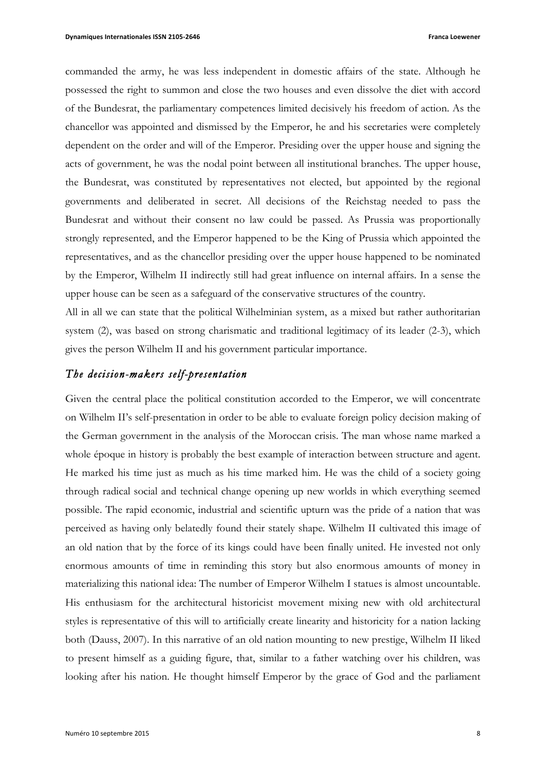commanded the army, he was less independent in domestic affairs of the state. Although he possessed the right to summon and close the two houses and even dissolve the diet with accord of the Bundesrat, the parliamentary competences limited decisively his freedom of action. As the chancellor was appointed and dismissed by the Emperor, he and his secretaries were completely dependent on the order and will of the Emperor. Presiding over the upper house and signing the acts of government, he was the nodal point between all institutional branches. The upper house, the Bundesrat, was constituted by representatives not elected, but appointed by the regional governments and deliberated in secret. All decisions of the Reichstag needed to pass the Bundesrat and without their consent no law could be passed. As Prussia was proportionally strongly represented, and the Emperor happened to be the King of Prussia which appointed the representatives, and as the chancellor presiding over the upper house happened to be nominated by the Emperor, Wilhelm II indirectly still had great influence on internal affairs. In a sense the upper house can be seen as a safeguard of the conservative structures of the country.

All in all we can state that the political Wilhelminian system, as a mixed but rather authoritarian system (2), was based on strong charismatic and traditional legitimacy of its leader (2-3), which gives the person Wilhelm II and his government particular importance.

## *The decision-makers self-presentation*

Given the central place the political constitution accorded to the Emperor, we will concentrate on Wilhelm II's self-presentation in order to be able to evaluate foreign policy decision making of the German government in the analysis of the Moroccan crisis. The man whose name marked a whole époque in history is probably the best example of interaction between structure and agent. He marked his time just as much as his time marked him. He was the child of a society going through radical social and technical change opening up new worlds in which everything seemed possible. The rapid economic, industrial and scientific upturn was the pride of a nation that was perceived as having only belatedly found their stately shape. Wilhelm II cultivated this image of an old nation that by the force of its kings could have been finally united. He invested not only enormous amounts of time in reminding this story but also enormous amounts of money in materializing this national idea: The number of Emperor Wilhelm I statues is almost uncountable. His enthusiasm for the architectural historicist movement mixing new with old architectural styles is representative of this will to artificially create linearity and historicity for a nation lacking both (Dauss, 2007). In this narrative of an old nation mounting to new prestige, Wilhelm II liked to present himself as a guiding figure, that, similar to a father watching over his children, was looking after his nation. He thought himself Emperor by the grace of God and the parliament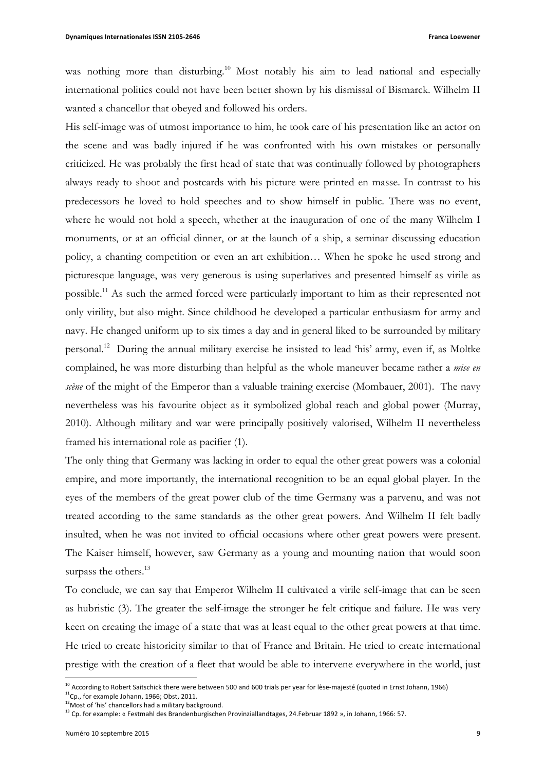was nothing more than disturbing.<sup>10</sup> Most notably his aim to lead national and especially international politics could not have been better shown by his dismissal of Bismarck. Wilhelm II wanted a chancellor that obeyed and followed his orders.

His self-image was of utmost importance to him, he took care of his presentation like an actor on the scene and was badly injured if he was confronted with his own mistakes or personally criticized. He was probably the first head of state that was continually followed by photographers always ready to shoot and postcards with his picture were printed en masse. In contrast to his predecessors he loved to hold speeches and to show himself in public. There was no event, where he would not hold a speech, whether at the inauguration of one of the many Wilhelm I monuments, or at an official dinner, or at the launch of a ship, a seminar discussing education policy, a chanting competition or even an art exhibition… When he spoke he used strong and picturesque language, was very generous is using superlatives and presented himself as virile as possible.<sup>11</sup> As such the armed forced were particularly important to him as their represented not only virility, but also might. Since childhood he developed a particular enthusiasm for army and navy. He changed uniform up to six times a day and in general liked to be surrounded by military personal.12 During the annual military exercise he insisted to lead 'his' army, even if, as Moltke complained, he was more disturbing than helpful as the whole maneuver became rather a *mise en scène* of the might of the Emperor than a valuable training exercise (Mombauer, 2001). The navy nevertheless was his favourite object as it symbolized global reach and global power (Murray, 2010). Although military and war were principally positively valorised, Wilhelm II nevertheless framed his international role as pacifier (1).

The only thing that Germany was lacking in order to equal the other great powers was a colonial empire, and more importantly, the international recognition to be an equal global player. In the eyes of the members of the great power club of the time Germany was a parvenu, and was not treated according to the same standards as the other great powers. And Wilhelm II felt badly insulted, when he was not invited to official occasions where other great powers were present. The Kaiser himself, however, saw Germany as a young and mounting nation that would soon surpass the others.<sup>13</sup>

To conclude, we can say that Emperor Wilhelm II cultivated a virile self-image that can be seen as hubristic (3). The greater the self-image the stronger he felt critique and failure. He was very keen on creating the image of a state that was at least equal to the other great powers at that time. He tried to create historicity similar to that of France and Britain. He tried to create international prestige with the creation of a fleet that would be able to intervene everywhere in the world, just

<sup>&</sup>lt;sup>10</sup> According to Robert Saitschick there were between 500 and 600 trials per year for lèse-majesté (quoted in Ernst Johann, 1966)  $11$ Cp., for example Johann, 1966; Obst, 2011.

 $12$  Most of 'his' chancellors had a military background.

 $13$  Cp. for example: « Festmahl des Brandenburgischen Provinziallandtages, 24.Februar 1892 », in Johann, 1966: 57.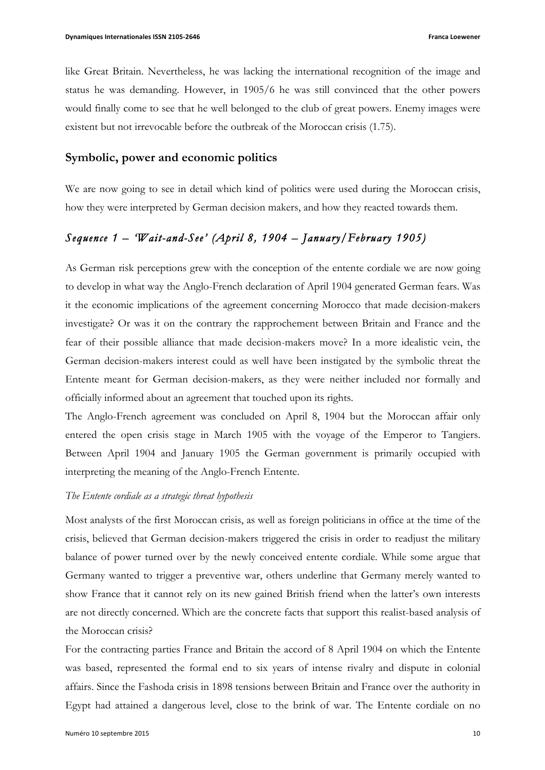like Great Britain. Nevertheless, he was lacking the international recognition of the image and status he was demanding. However, in 1905/6 he was still convinced that the other powers would finally come to see that he well belonged to the club of great powers. Enemy images were existent but not irrevocable before the outbreak of the Moroccan crisis (1.75).

## **Symbolic, power and economic politics**

We are now going to see in detail which kind of politics were used during the Moroccan crisis, how they were interpreted by German decision makers, and how they reacted towards them.

# *Sequence 1 – 'Wait-and-See' (April 8, 1904 – January/February 1905)*

As German risk perceptions grew with the conception of the entente cordiale we are now going to develop in what way the Anglo-French declaration of April 1904 generated German fears. Was it the economic implications of the agreement concerning Morocco that made decision-makers investigate? Or was it on the contrary the rapprochement between Britain and France and the fear of their possible alliance that made decision-makers move? In a more idealistic vein, the German decision-makers interest could as well have been instigated by the symbolic threat the Entente meant for German decision-makers, as they were neither included nor formally and officially informed about an agreement that touched upon its rights.

The Anglo-French agreement was concluded on April 8, 1904 but the Moroccan affair only entered the open crisis stage in March 1905 with the voyage of the Emperor to Tangiers. Between April 1904 and January 1905 the German government is primarily occupied with interpreting the meaning of the Anglo-French Entente.

### *The Entente cordiale as a strategic threat hypothesis*

Most analysts of the first Moroccan crisis, as well as foreign politicians in office at the time of the crisis, believed that German decision-makers triggered the crisis in order to readjust the military balance of power turned over by the newly conceived entente cordiale. While some argue that Germany wanted to trigger a preventive war, others underline that Germany merely wanted to show France that it cannot rely on its new gained British friend when the latter's own interests are not directly concerned. Which are the concrete facts that support this realist-based analysis of the Moroccan crisis?

For the contracting parties France and Britain the accord of 8 April 1904 on which the Entente was based, represented the formal end to six years of intense rivalry and dispute in colonial affairs. Since the Fashoda crisis in 1898 tensions between Britain and France over the authority in Egypt had attained a dangerous level, close to the brink of war. The Entente cordiale on no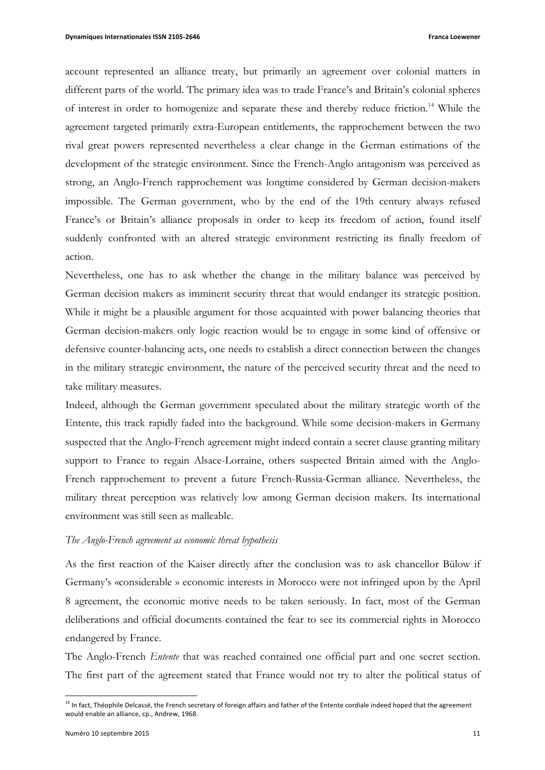account represented an alliance treaty, but primarily an agreement over colonial matters in different parts of the world. The primary idea was to trade France's and Britain's colonial spheres of interest in order to homogenize and separate these and thereby reduce friction.<sup>14</sup> While the agreement targeted primarily extra-European entitlements, the rapprochement between the two rival great powers represented nevertheless a clear change in the German estimations of the development of the strategic environment. Since the French-Anglo antagonism was perceived as strong, an Anglo-French rapprochement was longtime considered by German decision-makers impossible. The German government, who by the end of the 19th century always refused France's or Britain's alliance proposals in order to keep its freedom of action, found itself suddenly confronted with an altered strategic environment restricting its finally freedom of action.

Nevertheless, one has to ask whether the change in the military balance was perceived by German decision makers as imminent security threat that would endanger its strategic position. While it might be a plausible argument for those acquainted with power balancing theories that German decision-makers only logic reaction would be to engage in some kind of offensive or defensive counter-balancing acts, one needs to establish a direct connection between the changes in the military strategic environment, the nature of the perceived security threat and the need to take military measures.

Indeed, although the German government speculated about the military strategic worth of the Entente, this track rapidly faded into the background. While some decision-makers in Germany suspected that the Anglo-French agreement might indeed contain a secret clause granting military support to France to regain Alsace-Lorraine, others suspected Britain aimed with the Anglo-French rapprochement to prevent a future French-Russia-German alliance. Nevertheless, the military threat perception was relatively low among German decision makers. Its international environment was still seen as malleable.

### *The Anglo-French agreement as economic threat hypothesis*

As the first reaction of the Kaiser directly after the conclusion was to ask chancellor Bülow if Germany's «considerable » economic interests in Morocco were not infringed upon by the April 8 agreement, the economic motive needs to be taken seriously. In fact, most of the German deliberations and official documents contained the fear to see its commercial rights in Morocco endangered by France.

The Anglo-French *Entente* that was reached contained one official part and one secret section. The first part of the agreement stated that France would not try to alter the political status of

 $14$  In fact, Théophile Delcassé, the French secretary of foreign affairs and father of the Entente cordiale indeed hoped that the agreement would enable an alliance, cp., Andrew, 1968.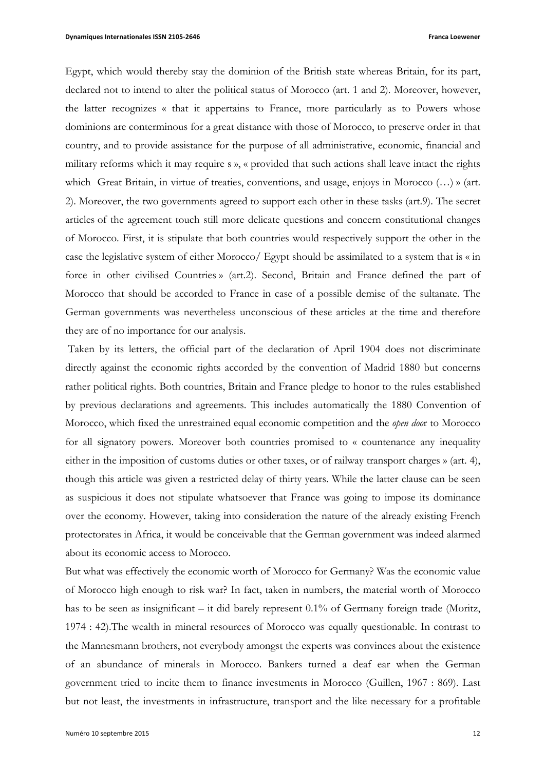Egypt, which would thereby stay the dominion of the British state whereas Britain, for its part, declared not to intend to alter the political status of Morocco (art. 1 and 2). Moreover, however, the latter recognizes « that it appertains to France, more particularly as to Powers whose dominions are conterminous for a great distance with those of Morocco, to preserve order in that country, and to provide assistance for the purpose of all administrative, economic, financial and military reforms which it may require s », « provided that such actions shall leave intact the rights which Great Britain, in virtue of treaties, conventions, and usage, enjoys in Morocco (…) » (art. 2). Moreover, the two governments agreed to support each other in these tasks (art.9). The secret articles of the agreement touch still more delicate questions and concern constitutional changes of Morocco. First, it is stipulate that both countries would respectively support the other in the case the legislative system of either Morocco/ Egypt should be assimilated to a system that is « in force in other civilised Countries » (art.2). Second, Britain and France defined the part of Morocco that should be accorded to France in case of a possible demise of the sultanate. The German governments was nevertheless unconscious of these articles at the time and therefore they are of no importance for our analysis.

Taken by its letters, the official part of the declaration of April 1904 does not discriminate directly against the economic rights accorded by the convention of Madrid 1880 but concerns rather political rights. Both countries, Britain and France pledge to honor to the rules established by previous declarations and agreements. This includes automatically the 1880 Convention of Morocco, which fixed the unrestrained equal economic competition and the *open doo*r to Morocco for all signatory powers. Moreover both countries promised to « countenance any inequality either in the imposition of customs duties or other taxes, or of railway transport charges » (art. 4), though this article was given a restricted delay of thirty years. While the latter clause can be seen as suspicious it does not stipulate whatsoever that France was going to impose its dominance over the economy. However, taking into consideration the nature of the already existing French protectorates in Africa, it would be conceivable that the German government was indeed alarmed about its economic access to Morocco.

But what was effectively the economic worth of Morocco for Germany? Was the economic value of Morocco high enough to risk war? In fact, taken in numbers, the material worth of Morocco has to be seen as insignificant – it did barely represent 0.1% of Germany foreign trade (Moritz, 1974 : 42).The wealth in mineral resources of Morocco was equally questionable. In contrast to the Mannesmann brothers, not everybody amongst the experts was convinces about the existence of an abundance of minerals in Morocco. Bankers turned a deaf ear when the German government tried to incite them to finance investments in Morocco (Guillen, 1967 : 869). Last but not least, the investments in infrastructure, transport and the like necessary for a profitable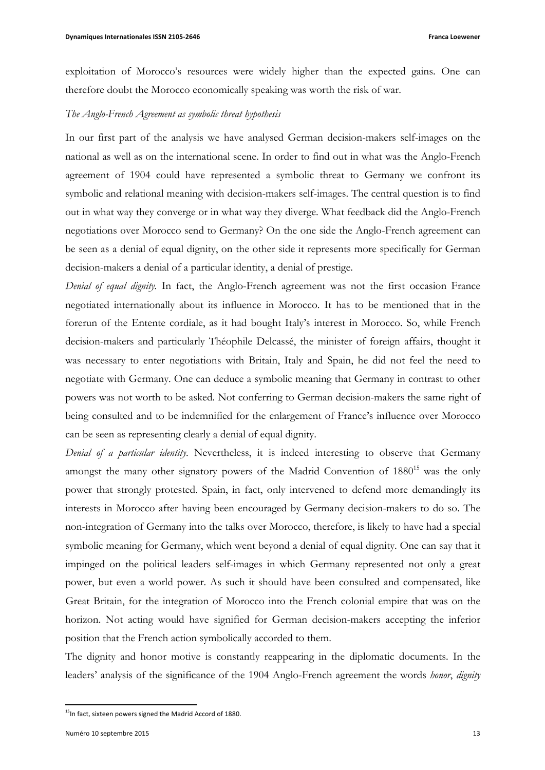exploitation of Morocco's resources were widely higher than the expected gains. One can therefore doubt the Morocco economically speaking was worth the risk of war.

### *The Anglo-French Agreement as symbolic threat hypothesis*

In our first part of the analysis we have analysed German decision-makers self-images on the national as well as on the international scene. In order to find out in what was the Anglo-French agreement of 1904 could have represented a symbolic threat to Germany we confront its symbolic and relational meaning with decision-makers self-images. The central question is to find out in what way they converge or in what way they diverge. What feedback did the Anglo-French negotiations over Morocco send to Germany? On the one side the Anglo-French agreement can be seen as a denial of equal dignity, on the other side it represents more specifically for German decision-makers a denial of a particular identity, a denial of prestige.

*Denial of equal dignity.* In fact, the Anglo-French agreement was not the first occasion France negotiated internationally about its influence in Morocco. It has to be mentioned that in the forerun of the Entente cordiale, as it had bought Italy's interest in Morocco. So, while French decision-makers and particularly Théophile Delcassé, the minister of foreign affairs, thought it was necessary to enter negotiations with Britain, Italy and Spain, he did not feel the need to negotiate with Germany. One can deduce a symbolic meaning that Germany in contrast to other powers was not worth to be asked. Not conferring to German decision-makers the same right of being consulted and to be indemnified for the enlargement of France's influence over Morocco can be seen as representing clearly a denial of equal dignity.

*Denial of a particular identity*. Nevertheless, it is indeed interesting to observe that Germany amongst the many other signatory powers of the Madrid Convention of  $1880^{15}$  was the only power that strongly protested. Spain, in fact, only intervened to defend more demandingly its interests in Morocco after having been encouraged by Germany decision-makers to do so. The non-integration of Germany into the talks over Morocco, therefore, is likely to have had a special symbolic meaning for Germany, which went beyond a denial of equal dignity. One can say that it impinged on the political leaders self-images in which Germany represented not only a great power, but even a world power. As such it should have been consulted and compensated, like Great Britain, for the integration of Morocco into the French colonial empire that was on the horizon. Not acting would have signified for German decision-makers accepting the inferior position that the French action symbolically accorded to them.

The dignity and honor motive is constantly reappearing in the diplomatic documents. In the leaders' analysis of the significance of the 1904 Anglo-French agreement the words *honor*, *dignity*

<sup>&</sup>lt;sup>15</sup>In fact, sixteen powers signed the Madrid Accord of 1880.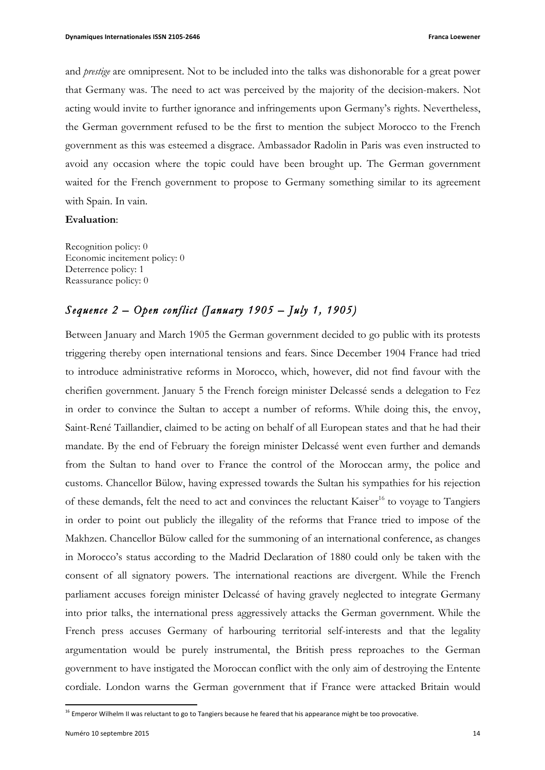and *prestige* are omnipresent. Not to be included into the talks was dishonorable for a great power that Germany was. The need to act was perceived by the majority of the decision-makers. Not acting would invite to further ignorance and infringements upon Germany's rights. Nevertheless, the German government refused to be the first to mention the subject Morocco to the French government as this was esteemed a disgrace. Ambassador Radolin in Paris was even instructed to avoid any occasion where the topic could have been brought up. The German government waited for the French government to propose to Germany something similar to its agreement with Spain. In vain.

### **Evaluation**:

Recognition policy: 0 Economic incitement policy: 0 Deterrence policy: 1 Reassurance policy: 0

# *Sequence 2 – Open conflict (January 1905 – July 1, 1905)*

Between January and March 1905 the German government decided to go public with its protests triggering thereby open international tensions and fears. Since December 1904 France had tried to introduce administrative reforms in Morocco, which, however, did not find favour with the cherifien government. January 5 the French foreign minister Delcassé sends a delegation to Fez in order to convince the Sultan to accept a number of reforms. While doing this, the envoy, Saint-René Taillandier, claimed to be acting on behalf of all European states and that he had their mandate. By the end of February the foreign minister Delcassé went even further and demands from the Sultan to hand over to France the control of the Moroccan army, the police and customs. Chancellor Bülow, having expressed towards the Sultan his sympathies for his rejection of these demands, felt the need to act and convinces the reluctant Kaiser<sup>16</sup> to voyage to Tangiers in order to point out publicly the illegality of the reforms that France tried to impose of the Makhzen. Chancellor Bülow called for the summoning of an international conference, as changes in Morocco's status according to the Madrid Declaration of 1880 could only be taken with the consent of all signatory powers. The international reactions are divergent. While the French parliament accuses foreign minister Delcassé of having gravely neglected to integrate Germany into prior talks, the international press aggressively attacks the German government. While the French press accuses Germany of harbouring territorial self-interests and that the legality argumentation would be purely instrumental, the British press reproaches to the German government to have instigated the Moroccan conflict with the only aim of destroying the Entente cordiale. London warns the German government that if France were attacked Britain would

<sup>&</sup>lt;sup>16</sup> Emperor Wilhelm II was reluctant to go to Tangiers because he feared that his appearance might be too provocative.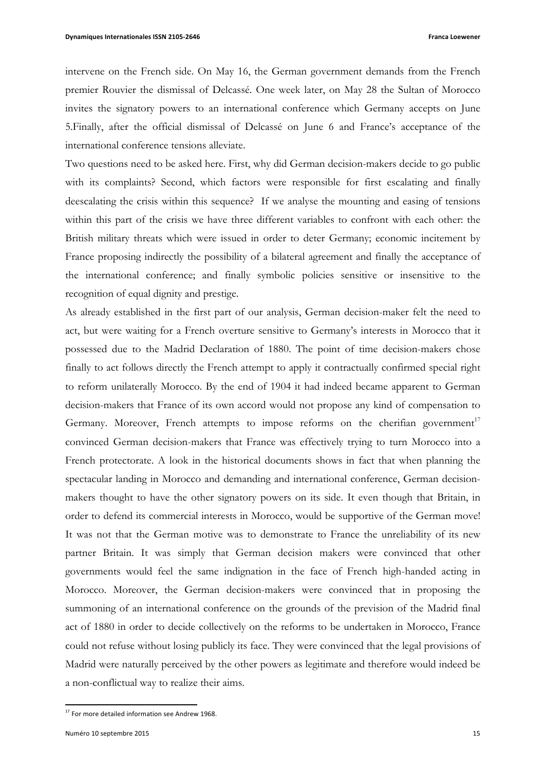intervene on the French side. On May 16, the German government demands from the French premier Rouvier the dismissal of Delcassé. One week later, on May 28 the Sultan of Morocco invites the signatory powers to an international conference which Germany accepts on June 5.Finally, after the official dismissal of Delcassé on June 6 and France's acceptance of the international conference tensions alleviate.

Two questions need to be asked here. First, why did German decision-makers decide to go public with its complaints? Second, which factors were responsible for first escalating and finally deescalating the crisis within this sequence? If we analyse the mounting and easing of tensions within this part of the crisis we have three different variables to confront with each other: the British military threats which were issued in order to deter Germany; economic incitement by France proposing indirectly the possibility of a bilateral agreement and finally the acceptance of the international conference; and finally symbolic policies sensitive or insensitive to the recognition of equal dignity and prestige.

As already established in the first part of our analysis, German decision-maker felt the need to act, but were waiting for a French overture sensitive to Germany's interests in Morocco that it possessed due to the Madrid Declaration of 1880. The point of time decision-makers chose finally to act follows directly the French attempt to apply it contractually confirmed special right to reform unilaterally Morocco. By the end of 1904 it had indeed became apparent to German decision-makers that France of its own accord would not propose any kind of compensation to Germany. Moreover, French attempts to impose reforms on the cherifian government<sup>17</sup> convinced German decision-makers that France was effectively trying to turn Morocco into a French protectorate. A look in the historical documents shows in fact that when planning the spectacular landing in Morocco and demanding and international conference, German decisionmakers thought to have the other signatory powers on its side. It even though that Britain, in order to defend its commercial interests in Morocco, would be supportive of the German move! It was not that the German motive was to demonstrate to France the unreliability of its new partner Britain. It was simply that German decision makers were convinced that other governments would feel the same indignation in the face of French high-handed acting in Morocco. Moreover, the German decision-makers were convinced that in proposing the summoning of an international conference on the grounds of the prevision of the Madrid final act of 1880 in order to decide collectively on the reforms to be undertaken in Morocco, France could not refuse without losing publicly its face. They were convinced that the legal provisions of Madrid were naturally perceived by the other powers as legitimate and therefore would indeed be a non-conflictual way to realize their aims.

<sup>&</sup>lt;sup>17</sup> For more detailed information see Andrew 1968.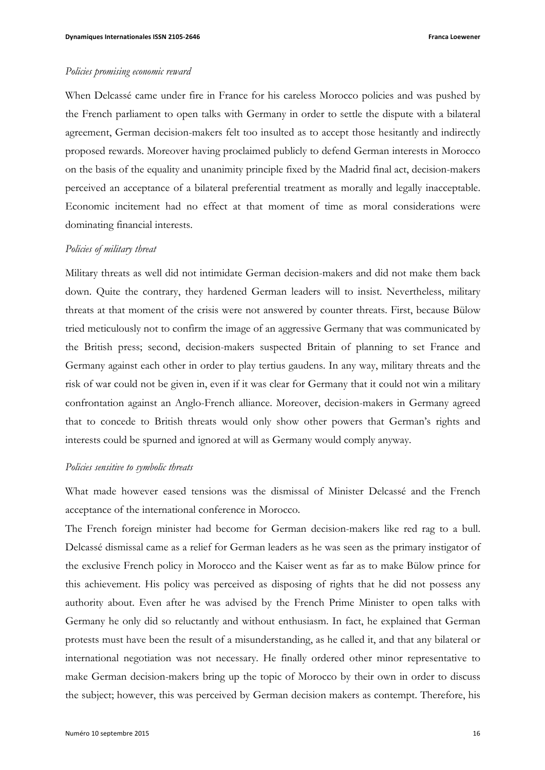### *Policies promising economic reward*

When Delcassé came under fire in France for his careless Morocco policies and was pushed by the French parliament to open talks with Germany in order to settle the dispute with a bilateral agreement, German decision-makers felt too insulted as to accept those hesitantly and indirectly proposed rewards. Moreover having proclaimed publicly to defend German interests in Morocco on the basis of the equality and unanimity principle fixed by the Madrid final act, decision-makers perceived an acceptance of a bilateral preferential treatment as morally and legally inacceptable. Economic incitement had no effect at that moment of time as moral considerations were dominating financial interests.

### *Policies of military threat*

Military threats as well did not intimidate German decision-makers and did not make them back down. Quite the contrary, they hardened German leaders will to insist. Nevertheless, military threats at that moment of the crisis were not answered by counter threats. First, because Bülow tried meticulously not to confirm the image of an aggressive Germany that was communicated by the British press; second, decision-makers suspected Britain of planning to set France and Germany against each other in order to play tertius gaudens. In any way, military threats and the risk of war could not be given in, even if it was clear for Germany that it could not win a military confrontation against an Anglo-French alliance. Moreover, decision-makers in Germany agreed that to concede to British threats would only show other powers that German's rights and interests could be spurned and ignored at will as Germany would comply anyway.

### *Policies sensitive to symbolic threats*

What made however eased tensions was the dismissal of Minister Delcassé and the French acceptance of the international conference in Morocco.

The French foreign minister had become for German decision-makers like red rag to a bull. Delcassé dismissal came as a relief for German leaders as he was seen as the primary instigator of the exclusive French policy in Morocco and the Kaiser went as far as to make Bülow prince for this achievement. His policy was perceived as disposing of rights that he did not possess any authority about. Even after he was advised by the French Prime Minister to open talks with Germany he only did so reluctantly and without enthusiasm. In fact, he explained that German protests must have been the result of a misunderstanding, as he called it, and that any bilateral or international negotiation was not necessary. He finally ordered other minor representative to make German decision-makers bring up the topic of Morocco by their own in order to discuss the subject; however, this was perceived by German decision makers as contempt. Therefore, his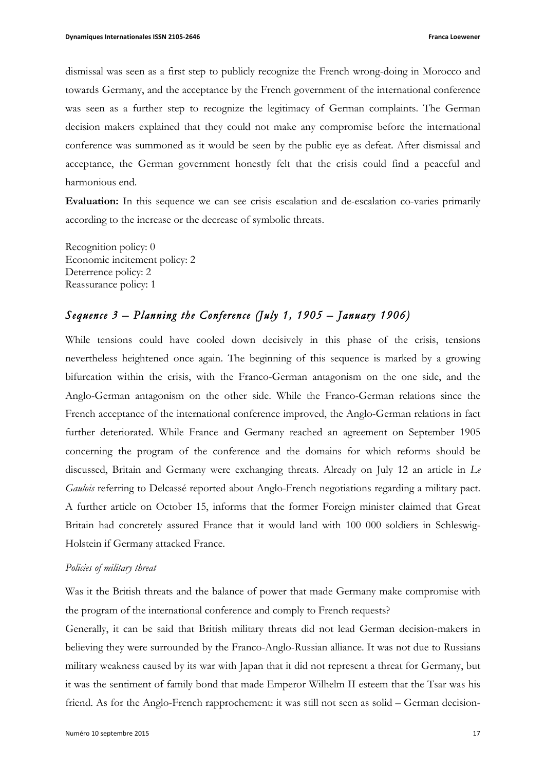dismissal was seen as a first step to publicly recognize the French wrong-doing in Morocco and towards Germany, and the acceptance by the French government of the international conference was seen as a further step to recognize the legitimacy of German complaints. The German decision makers explained that they could not make any compromise before the international conference was summoned as it would be seen by the public eye as defeat. After dismissal and acceptance, the German government honestly felt that the crisis could find a peaceful and harmonious end.

**Evaluation:** In this sequence we can see crisis escalation and de-escalation co-varies primarily according to the increase or the decrease of symbolic threats.

Recognition policy: 0 Economic incitement policy: 2 Deterrence policy: 2 Reassurance policy: 1

# *Sequence 3 – Planning the Conference (July 1, 1905 – January 1906)*

While tensions could have cooled down decisively in this phase of the crisis, tensions nevertheless heightened once again. The beginning of this sequence is marked by a growing bifurcation within the crisis, with the Franco-German antagonism on the one side, and the Anglo-German antagonism on the other side. While the Franco-German relations since the French acceptance of the international conference improved, the Anglo-German relations in fact further deteriorated. While France and Germany reached an agreement on September 1905 concerning the program of the conference and the domains for which reforms should be discussed, Britain and Germany were exchanging threats. Already on July 12 an article in *Le Gaulois* referring to Delcassé reported about Anglo-French negotiations regarding a military pact. A further article on October 15, informs that the former Foreign minister claimed that Great Britain had concretely assured France that it would land with 100 000 soldiers in Schleswig-Holstein if Germany attacked France.

## *Policies of military threat*

Was it the British threats and the balance of power that made Germany make compromise with the program of the international conference and comply to French requests?

Generally, it can be said that British military threats did not lead German decision-makers in believing they were surrounded by the Franco-Anglo-Russian alliance. It was not due to Russians military weakness caused by its war with Japan that it did not represent a threat for Germany, but it was the sentiment of family bond that made Emperor Wilhelm II esteem that the Tsar was his friend. As for the Anglo-French rapprochement: it was still not seen as solid – German decision-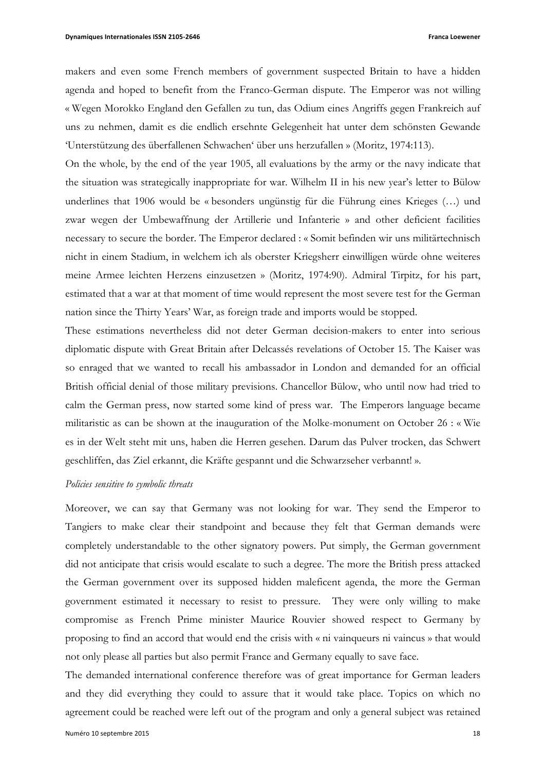makers and even some French members of government suspected Britain to have a hidden agenda and hoped to benefit from the Franco-German dispute. The Emperor was not willing « Wegen Morokko England den Gefallen zu tun, das Odium eines Angriffs gegen Frankreich auf uns zu nehmen, damit es die endlich ersehnte Gelegenheit hat unter dem schönsten Gewande 'Unterstützung des überfallenen Schwachen' über uns herzufallen » (Moritz, 1974:113).

On the whole, by the end of the year 1905, all evaluations by the army or the navy indicate that the situation was strategically inappropriate for war. Wilhelm II in his new year's letter to Bülow underlines that 1906 would be « besonders ungünstig für die Führung eines Krieges (…) und zwar wegen der Umbewaffnung der Artillerie und Infanterie » and other deficient facilities necessary to secure the border. The Emperor declared : « Somit befinden wir uns militärtechnisch nicht in einem Stadium, in welchem ich als oberster Kriegsherr einwilligen würde ohne weiteres meine Armee leichten Herzens einzusetzen » (Moritz, 1974:90). Admiral Tirpitz, for his part, estimated that a war at that moment of time would represent the most severe test for the German nation since the Thirty Years' War, as foreign trade and imports would be stopped.

These estimations nevertheless did not deter German decision-makers to enter into serious diplomatic dispute with Great Britain after Delcassés revelations of October 15. The Kaiser was so enraged that we wanted to recall his ambassador in London and demanded for an official British official denial of those military previsions. Chancellor Bülow, who until now had tried to calm the German press, now started some kind of press war. The Emperors language became militaristic as can be shown at the inauguration of the Molke-monument on October 26 : « Wie es in der Welt steht mit uns, haben die Herren gesehen. Darum das Pulver trocken, das Schwert geschliffen, das Ziel erkannt, die Kräfte gespannt und die Schwarzseher verbannt! ».

### *Policies sensitive to symbolic threats*

Moreover, we can say that Germany was not looking for war. They send the Emperor to Tangiers to make clear their standpoint and because they felt that German demands were completely understandable to the other signatory powers. Put simply, the German government did not anticipate that crisis would escalate to such a degree. The more the British press attacked the German government over its supposed hidden maleficent agenda, the more the German government estimated it necessary to resist to pressure. They were only willing to make compromise as French Prime minister Maurice Rouvier showed respect to Germany by proposing to find an accord that would end the crisis with « ni vainqueurs ni vaincus » that would not only please all parties but also permit France and Germany equally to save face.

The demanded international conference therefore was of great importance for German leaders and they did everything they could to assure that it would take place. Topics on which no agreement could be reached were left out of the program and only a general subject was retained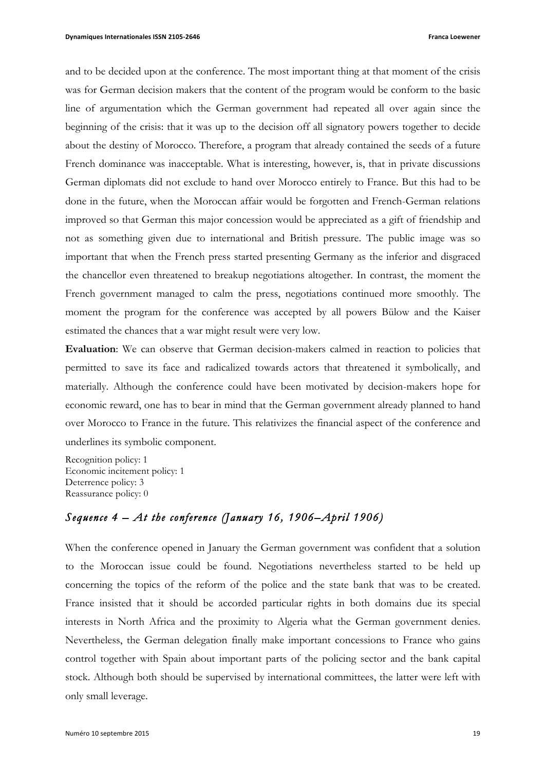and to be decided upon at the conference. The most important thing at that moment of the crisis was for German decision makers that the content of the program would be conform to the basic line of argumentation which the German government had repeated all over again since the beginning of the crisis: that it was up to the decision off all signatory powers together to decide about the destiny of Morocco. Therefore, a program that already contained the seeds of a future French dominance was inacceptable. What is interesting, however, is, that in private discussions German diplomats did not exclude to hand over Morocco entirely to France. But this had to be done in the future, when the Moroccan affair would be forgotten and French-German relations improved so that German this major concession would be appreciated as a gift of friendship and not as something given due to international and British pressure. The public image was so important that when the French press started presenting Germany as the inferior and disgraced the chancellor even threatened to breakup negotiations altogether. In contrast, the moment the French government managed to calm the press, negotiations continued more smoothly. The moment the program for the conference was accepted by all powers Bülow and the Kaiser estimated the chances that a war might result were very low.

**Evaluation**: We can observe that German decision-makers calmed in reaction to policies that permitted to save its face and radicalized towards actors that threatened it symbolically, and materially. Although the conference could have been motivated by decision-makers hope for economic reward, one has to bear in mind that the German government already planned to hand over Morocco to France in the future. This relativizes the financial aspect of the conference and underlines its symbolic component.

Recognition policy: 1 Economic incitement policy: 1 Deterrence policy: 3 Reassurance policy: 0

# *Sequence 4 – At the conference (January 16, 1906–April 1906)*

When the conference opened in January the German government was confident that a solution to the Moroccan issue could be found. Negotiations nevertheless started to be held up concerning the topics of the reform of the police and the state bank that was to be created. France insisted that it should be accorded particular rights in both domains due its special interests in North Africa and the proximity to Algeria what the German government denies. Nevertheless, the German delegation finally make important concessions to France who gains control together with Spain about important parts of the policing sector and the bank capital stock. Although both should be supervised by international committees, the latter were left with only small leverage.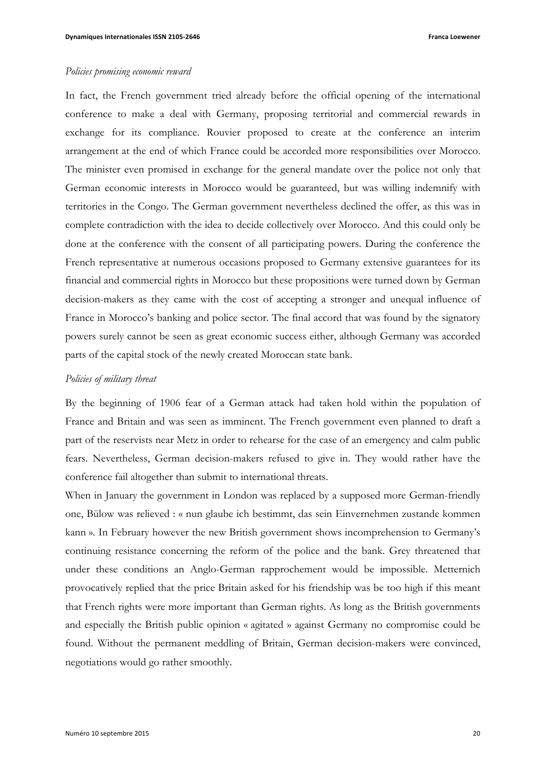### *Policies promising economic reward*

In fact, the French government tried already before the official opening of the international conference to make a deal with Germany, proposing territorial and commercial rewards in exchange for its compliance. Rouvier proposed to create at the conference an interim arrangement at the end of which France could be accorded more responsibilities over Morocco. The minister even promised in exchange for the general mandate over the police not only that German economic interests in Morocco would be guaranteed, but was willing indemnify with territories in the Congo. The German government nevertheless declined the offer, as this was in complete contradiction with the idea to decide collectively over Morocco. And this could only be done at the conference with the consent of all participating powers. During the conference the French representative at numerous occasions proposed to Germany extensive guarantees for its financial and commercial rights in Morocco but these propositions were turned down by German decision-makers as they came with the cost of accepting a stronger and unequal influence of France in Morocco's banking and police sector. The final accord that was found by the signatory powers surely cannot be seen as great economic success either, although Germany was accorded parts of the capital stock of the newly created Moroccan state bank.

### *Policies of military threat*

By the beginning of 1906 fear of a German attack had taken hold within the population of France and Britain and was seen as imminent. The French government even planned to draft a part of the reservists near Metz in order to rehearse for the case of an emergency and calm public fears. Nevertheless, German decision-makers refused to give in. They would rather have the conference fail altogether than submit to international threats.

When in January the government in London was replaced by a supposed more German-friendly one, Bülow was relieved : « nun glaube ich bestimmt, das sein Einvernehmen zustande kommen kann ». In February however the new British government shows incomprehension to Germany's continuing resistance concerning the reform of the police and the bank. Grey threatened that under these conditions an Anglo-German rapprochement would be impossible. Metternich provocatively replied that the price Britain asked for his friendship was be too high if this meant that French rights were more important than German rights. As long as the British governments and especially the British public opinion « agitated » against Germany no compromise could be found. Without the permanent meddling of Britain, German decision-makers were convinced, negotiations would go rather smoothly.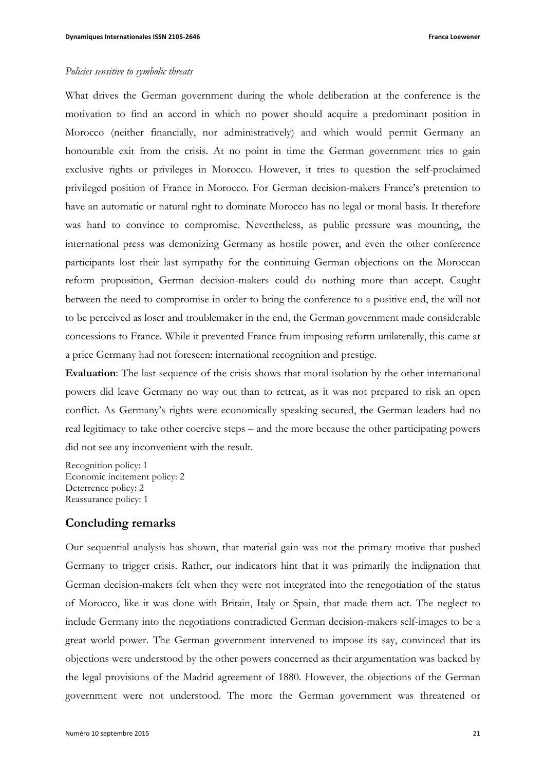### *Policies sensitive to symbolic threats*

What drives the German government during the whole deliberation at the conference is the motivation to find an accord in which no power should acquire a predominant position in Morocco (neither financially, nor administratively) and which would permit Germany an honourable exit from the crisis. At no point in time the German government tries to gain exclusive rights or privileges in Morocco. However, it tries to question the self-proclaimed privileged position of France in Morocco. For German decision-makers France's pretention to have an automatic or natural right to dominate Morocco has no legal or moral basis. It therefore was hard to convince to compromise. Nevertheless, as public pressure was mounting, the international press was demonizing Germany as hostile power, and even the other conference participants lost their last sympathy for the continuing German objections on the Moroccan reform proposition, German decision-makers could do nothing more than accept. Caught between the need to compromise in order to bring the conference to a positive end, the will not to be perceived as loser and troublemaker in the end, the German government made considerable concessions to France. While it prevented France from imposing reform unilaterally, this came at a price Germany had not foreseen: international recognition and prestige.

**Evaluation**: The last sequence of the crisis shows that moral isolation by the other international powers did leave Germany no way out than to retreat, as it was not prepared to risk an open conflict. As Germany's rights were economically speaking secured, the German leaders had no real legitimacy to take other coercive steps – and the more because the other participating powers did not see any inconvenient with the result.

Recognition policy: 1 Economic incitement policy: 2 Deterrence policy: 2 Reassurance policy: 1

## **Concluding remarks**

Our sequential analysis has shown, that material gain was not the primary motive that pushed Germany to trigger crisis. Rather, our indicators hint that it was primarily the indignation that German decision-makers felt when they were not integrated into the renegotiation of the status of Morocco, like it was done with Britain, Italy or Spain, that made them act. The neglect to include Germany into the negotiations contradicted German decision-makers self-images to be a great world power. The German government intervened to impose its say, convinced that its objections were understood by the other powers concerned as their argumentation was backed by the legal provisions of the Madrid agreement of 1880. However, the objections of the German government were not understood. The more the German government was threatened or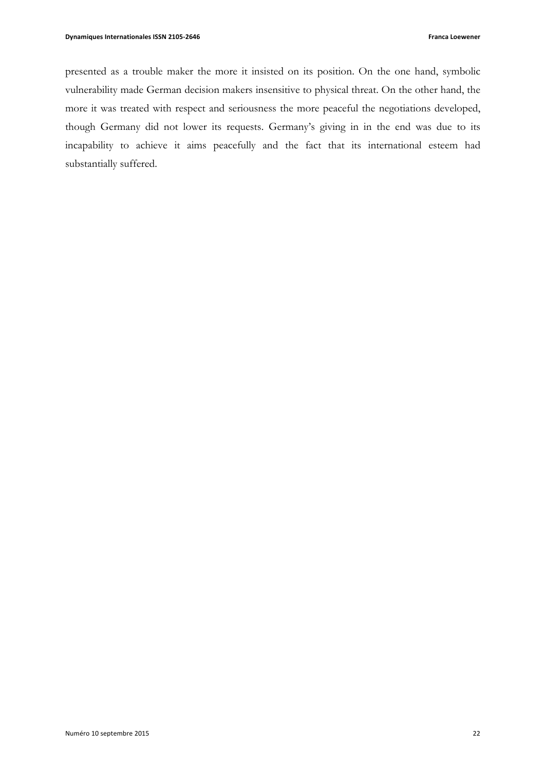presented as a trouble maker the more it insisted on its position. On the one hand, symbolic vulnerability made German decision makers insensitive to physical threat. On the other hand, the more it was treated with respect and seriousness the more peaceful the negotiations developed, though Germany did not lower its requests. Germany's giving in in the end was due to its incapability to achieve it aims peacefully and the fact that its international esteem had substantially suffered.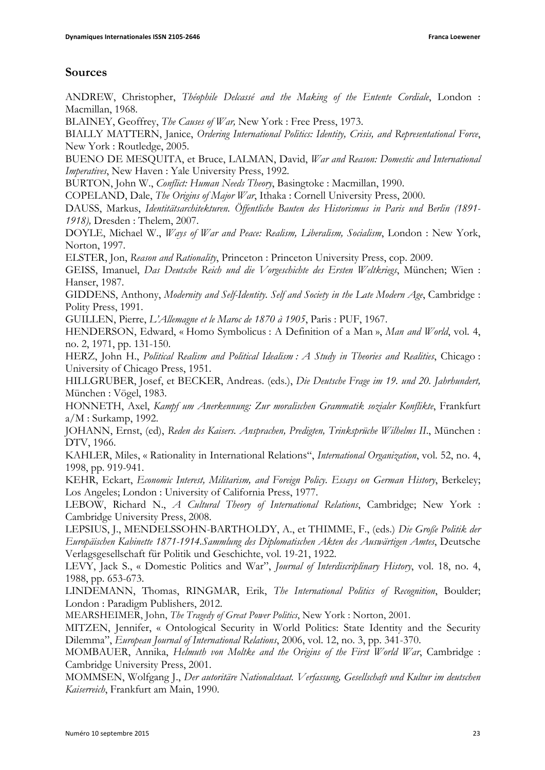# **Sources**

ANDREW, Christopher, *Théophile Delcassé and the Making of the Entente Cordiale*, London : Macmillan, 1968.

BLAINEY, Geoffrey, *The Causes of War,* New York : Free Press, 1973.

BIALLY MATTERN, Janice, *Ordering International Politics: Identity, Crisis, and Representational Force*, New York : Routledge, 2005.

BUENO DE MESQUITA, et Bruce, LALMAN, David, *War and Reason: Domestic and International Imperatives*, New Haven : Yale University Press, 1992.

BURTON, John W., *Conflict: Human Needs Theory*, Basingtoke : Macmillan, 1990.

COPELAND, Dale, *The Origins of Major War*, Ithaka : Cornell University Press, 2000.

DAUSS, Markus, *Identitätsarchitekturen. Öffentliche Bauten des Historismus in Paris und Berlin (1891- 1918),* Dresden : Thelem, 2007.

DOYLE, Michael W., *Ways of War and Peace: Realism, Liberalism, Socialism*, London : New York, Norton, 1997.

ELSTER, Jon, *Reason and Rationality*, Princeton : Princeton University Press, cop. 2009.

GEISS, Imanuel, *Das Deutsche Reich und die Vorgeschichte des Ersten Weltkriegs*, München; Wien : Hanser, 1987.

GIDDENS, Anthony, *Modernity and Self-Identity. Self and Society in the Late Modern Age*, Cambridge : Polity Press, 1991.

GUILLEN, Pierre, *L'Allemagne et le Maroc de 1870 à 1905*, Paris : PUF, 1967.

HENDERSON, Edward, « Homo Symbolicus : A Definition of a Man », *Man and World*, vol. 4, no. 2, 1971, pp. 131-150.

HERZ, John H., *Political Realism and Political Idealism : A Study in Theories and Realities*, Chicago : University of Chicago Press, 1951.

HILLGRUBER, Josef, et BECKER, Andreas. (eds.), *Die Deutsche Frage im 19. und 20. Jahrhundert,*  München : Vögel, 1983.

HONNETH, Axel, *Kampf um Anerkennung: Zur moralischen Grammatik sozialer Konflikte*, Frankfurt a/M : Surkamp, 1992.

JOHANN, Ernst, (ed), *Reden des Kaisers. Ansprachen, Predigten, Trinksprüche Wilhelms II*., München : DTV, 1966.

KAHLER, Miles, « Rationality in International Relations", *International Organization*, vol. 52, no. 4, 1998, pp. 919-941.

KEHR, Eckart, *Economic Interest, Militarism, and Foreign Policy. Essays on German History*, Berkeley; Los Angeles; London : University of California Press, 1977.

LEBOW, Richard N., *A Cultural Theory of International Relations*, Cambridge; New York : Cambridge University Press, 2008.

LEPSIUS, J., MENDELSSOHN-BARTHOLDY, A., et THIMME, F., (eds.) *Die Große Politik der Europäischen Kabinette 1871-1914.Sammlung des Diplomatischen Akten des Auswärtigen Amtes*, Deutsche Verlagsgesellschaft für Politik und Geschichte, vol. 19-21, 1922.

LEVY, Jack S., « Domestic Politics and War", *Journal of Interdiscriplinary History*, vol. 18, no. 4, 1988, pp. 653-673.

LINDEMANN, Thomas, RINGMAR, Erik, *The International Politics of Recognition*, Boulder; London : Paradigm Publishers, 2012.

MEARSHEIMER, John, *The Tragedy of Great Power Politics*, New York : Norton, 2001.

MITZEN, Jennifer, « Ontological Security in World Politics: State Identity and the Security Dilemma", *European Journal of International Relations*, 2006, vol. 12, no. 3, pp. 341-370.

MOMBAUER, Annika, *Helmuth von Moltke and the Origins of the First World War*, Cambridge : Cambridge University Press, 2001.

MOMMSEN, Wolfgang J., *Der autoritäre Nationalstaat. Verfassung, Gesellschaft und Kultur im deutschen Kaiserreich*, Frankfurt am Main, 1990.